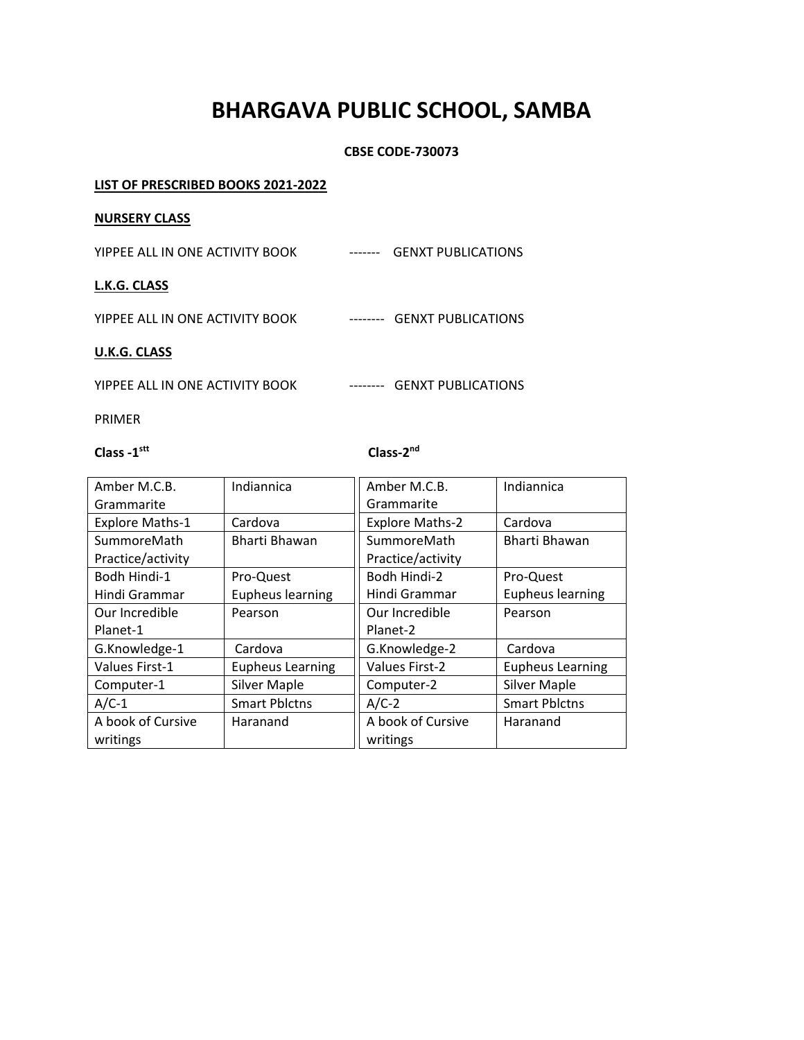# **BHARGAVA PUBLIC SCHOOL, SAMBA**

# **CBSE CODE-730073**

# **LIST OF PRESCRIBED BOOKS 2021-2022**

#### **NURSERY CLASS**

YIPPEE ALL IN ONE ACTIVITY BOOK ------- GENXT PUBLICATIONS

# **L.K.G. CLASS**

YIPPEE ALL IN ONE ACTIVITY BOOK -------- GENXT PUBLICATIONS

#### **U.K.G. CLASS**

YIPPEE ALL IN ONE ACTIVITY BOOK -------- GENXT PUBLICATIONS

PRIMER

# **Class -1 stt**

# **Class-2<sup>nd</sup>**

| Amber M.C.B.           | Indiannica              | Amber M.C.B.           | Indiannica              |
|------------------------|-------------------------|------------------------|-------------------------|
| Grammarite             |                         | Grammarite             |                         |
| <b>Explore Maths-1</b> | Cardova                 | <b>Explore Maths-2</b> | Cardova                 |
| SummoreMath            | Bharti Bhawan           | SummoreMath            | Bharti Bhawan           |
| Practice/activity      |                         | Practice/activity      |                         |
| Bodh Hindi-1           | Pro-Quest               | Bodh Hindi-2           | Pro-Quest               |
| Hindi Grammar          | <b>Eupheus learning</b> | Hindi Grammar          | <b>Eupheus learning</b> |
| Our Incredible         | Pearson                 | Our Incredible         | Pearson                 |
| Planet-1               |                         | Planet-2               |                         |
| G.Knowledge-1          | Cardova                 | G.Knowledge-2          | Cardova                 |
| Values First-1         | <b>Eupheus Learning</b> | <b>Values First-2</b>  | <b>Eupheus Learning</b> |
| Computer-1             | <b>Silver Maple</b>     | Computer-2             | <b>Silver Maple</b>     |
| $A/C-1$                | <b>Smart Pblctns</b>    | $A/C-2$                | <b>Smart Pblctns</b>    |
| A book of Cursive      | Haranand                | A book of Cursive      | Haranand                |
| writings               |                         | writings               |                         |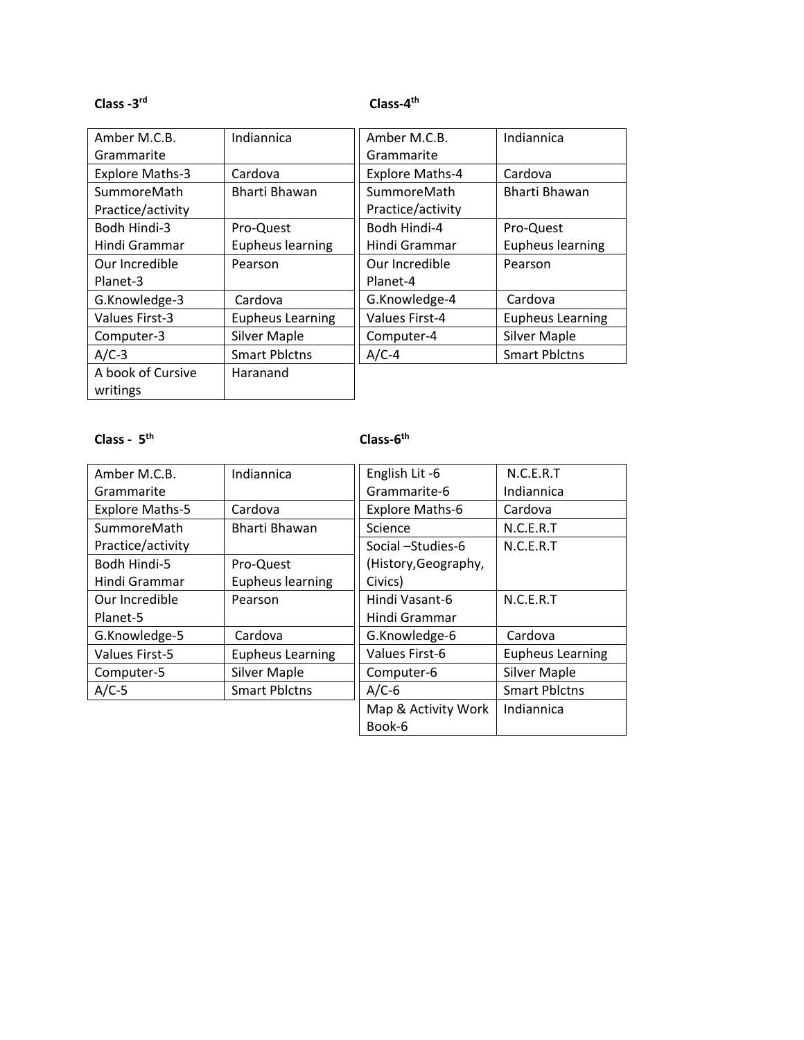# **Class -3 rd**

# **Class-4 th**

| Amber M.C.B.           | Indiannica              | Amber M.C.B.           | Indiannica              |
|------------------------|-------------------------|------------------------|-------------------------|
| Grammarite             |                         | Grammarite             |                         |
| <b>Explore Maths-3</b> | Cardova                 | <b>Explore Maths-4</b> | Cardova                 |
| SummoreMath            | Bharti Bhawan           | SummoreMath            | Bharti Bhawan           |
| Practice/activity      |                         | Practice/activity      |                         |
| Bodh Hindi-3           | Pro-Quest               | Bodh Hindi-4           | Pro-Quest               |
| Hindi Grammar          | <b>Eupheus learning</b> | Hindi Grammar          | <b>Eupheus learning</b> |
| Our Incredible         | Pearson                 | Our Incredible         | Pearson                 |
| Planet-3               |                         | Planet-4               |                         |
| G.Knowledge-3          | Cardova                 | G.Knowledge-4          | Cardova                 |
| Values First-3         | <b>Eupheus Learning</b> | <b>Values First-4</b>  | <b>Eupheus Learning</b> |
| Computer-3             | <b>Silver Maple</b>     | Computer-4             | <b>Silver Maple</b>     |
| $A/C-3$                | <b>Smart Pblctns</b>    | $A/C-4$                | <b>Smart Pblctns</b>    |
| A book of Cursive      | Haranand                |                        |                         |
| writings               |                         |                        |                         |

# **Class - 5 th**

# **Class-6<sup>th</sup>**

| Amber M.C.B.           | Indiannica              | English Lit-6          | N.C.E.R.T               |
|------------------------|-------------------------|------------------------|-------------------------|
| Grammarite             |                         | Grammarite-6           | Indiannica              |
| <b>Explore Maths-5</b> | Cardova                 | <b>Explore Maths-6</b> | Cardova                 |
| SummoreMath            | Bharti Bhawan           | Science                | N.C.E.R.T               |
| Practice/activity      |                         | Social -Studies-6      | N.C.E.R.T               |
| Bodh Hindi-5           | Pro-Quest               | (History, Geography,   |                         |
| Hindi Grammar          | <b>Eupheus learning</b> | Civics)                |                         |
| Our Incredible         | Pearson                 | Hindi Vasant-6         | N.C.E.R.T               |
| Planet-5               |                         | Hindi Grammar          |                         |
| G.Knowledge-5          | Cardova                 | G.Knowledge-6          | Cardova                 |
| Values First-5         | <b>Eupheus Learning</b> | Values First-6         | <b>Eupheus Learning</b> |
| Computer-5             | <b>Silver Maple</b>     | Computer-6             | <b>Silver Maple</b>     |
| $A/C-5$                | <b>Smart Pblctns</b>    | $A/C-6$                | <b>Smart Pblctns</b>    |
|                        |                         | Map & Activity Work    | Indiannica              |
|                        |                         | Book-6                 |                         |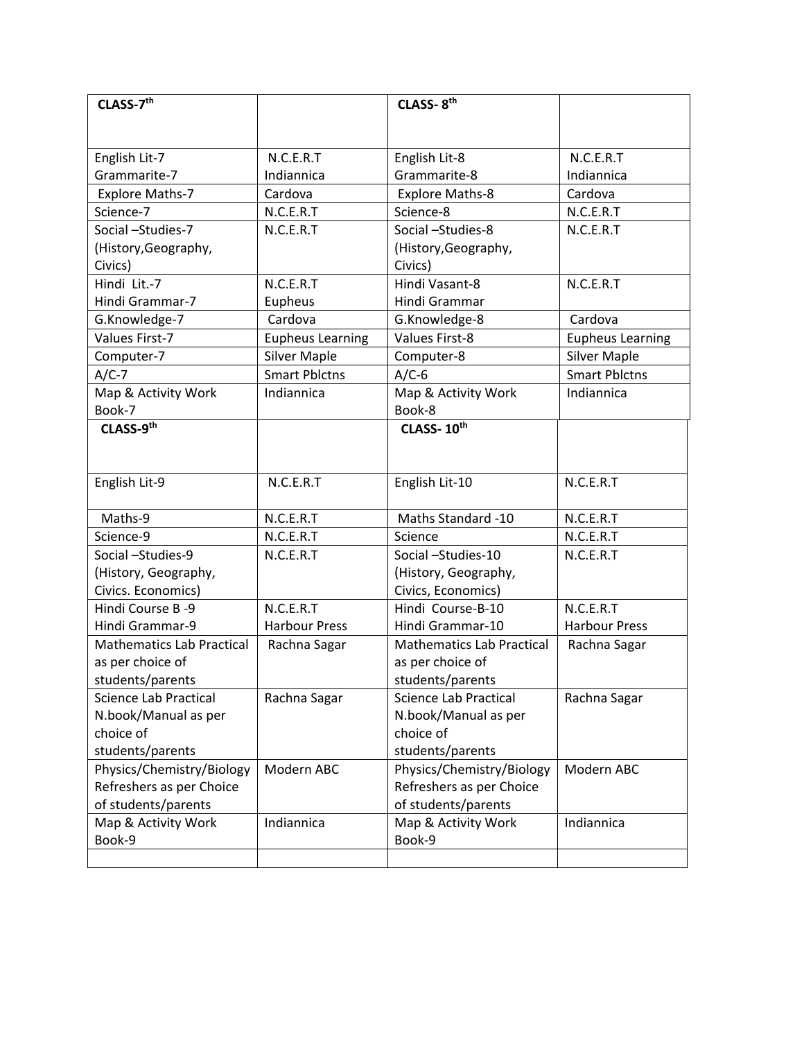| CLASS-7 <sup>th</sup>            |                         | CLASS-8th                        |                         |
|----------------------------------|-------------------------|----------------------------------|-------------------------|
|                                  |                         |                                  |                         |
|                                  |                         |                                  |                         |
| English Lit-7                    | N.C.E.R.T               | English Lit-8                    | N.C.E.R.T               |
| Grammarite-7                     | Indiannica              | Grammarite-8                     | Indiannica              |
| <b>Explore Maths-7</b>           | Cardova                 | <b>Explore Maths-8</b>           | Cardova                 |
| Science-7                        | N.C.E.R.T               | Science-8                        | N.C.E.R.T               |
| Social -Studies-7                | N.C.E.R.T               | Social -Studies-8                | N.C.E.R.T               |
| (History, Geography,             |                         | (History, Geography,             |                         |
| Civics)                          |                         | Civics)                          |                         |
| Hindi Lit.-7                     | N.C.E.R.T               | Hindi Vasant-8                   | N.C.E.R.T               |
| Hindi Grammar-7                  | Eupheus                 | Hindi Grammar                    |                         |
| G.Knowledge-7                    | Cardova                 | G.Knowledge-8                    | Cardova                 |
| <b>Values First-7</b>            | <b>Eupheus Learning</b> | <b>Values First-8</b>            | <b>Eupheus Learning</b> |
| Computer-7                       | <b>Silver Maple</b>     | Computer-8                       | <b>Silver Maple</b>     |
| $A/C-7$                          | <b>Smart Pblctns</b>    | $A/C-6$                          | <b>Smart Pblctns</b>    |
| Map & Activity Work              | Indiannica              | Map & Activity Work              | Indiannica              |
| Book-7                           |                         | Book-8                           |                         |
| CLASS-9th                        |                         | CLASS-10th                       |                         |
|                                  |                         |                                  |                         |
|                                  |                         |                                  |                         |
| English Lit-9                    | N.C.E.R.T               | English Lit-10                   | N.C.E.R.T               |
|                                  |                         |                                  |                         |
| Maths-9                          | N.C.E.R.T               | Maths Standard -10               | N.C.E.R.T               |
| Science-9                        | N.C.E.R.T               | Science                          | N.C.E.R.T               |
| Social-Studies-9                 | N.C.E.R.T               | Social -Studies-10               | N.C.E.R.T               |
| (History, Geography,             |                         | (History, Geography,             |                         |
| Civics. Economics)               |                         | Civics, Economics)               |                         |
| Hindi Course B-9                 | N.C.E.R.T               | Hindi Course-B-10                | N.C.E.R.T               |
| Hindi Grammar-9                  | <b>Harbour Press</b>    | Hindi Grammar-10                 | <b>Harbour Press</b>    |
| <b>Mathematics Lab Practical</b> | Rachna Sagar            | <b>Mathematics Lab Practical</b> | Rachna Sagar            |
| as per choice of                 |                         | as per choice of                 |                         |
| students/parents                 |                         | students/parents                 |                         |
| Science Lab Practical            | Rachna Sagar            | <b>Science Lab Practical</b>     | Rachna Sagar            |
| N.book/Manual as per             |                         | N.book/Manual as per             |                         |
| choice of                        |                         | choice of                        |                         |
| students/parents                 |                         | students/parents                 |                         |
| Physics/Chemistry/Biology        | Modern ABC              | Physics/Chemistry/Biology        | Modern ABC              |
| Refreshers as per Choice         |                         | Refreshers as per Choice         |                         |
| of students/parents              |                         | of students/parents              |                         |
| Map & Activity Work              | Indiannica              | Map & Activity Work              | Indiannica              |
| Book-9                           |                         | Book-9                           |                         |
|                                  |                         |                                  |                         |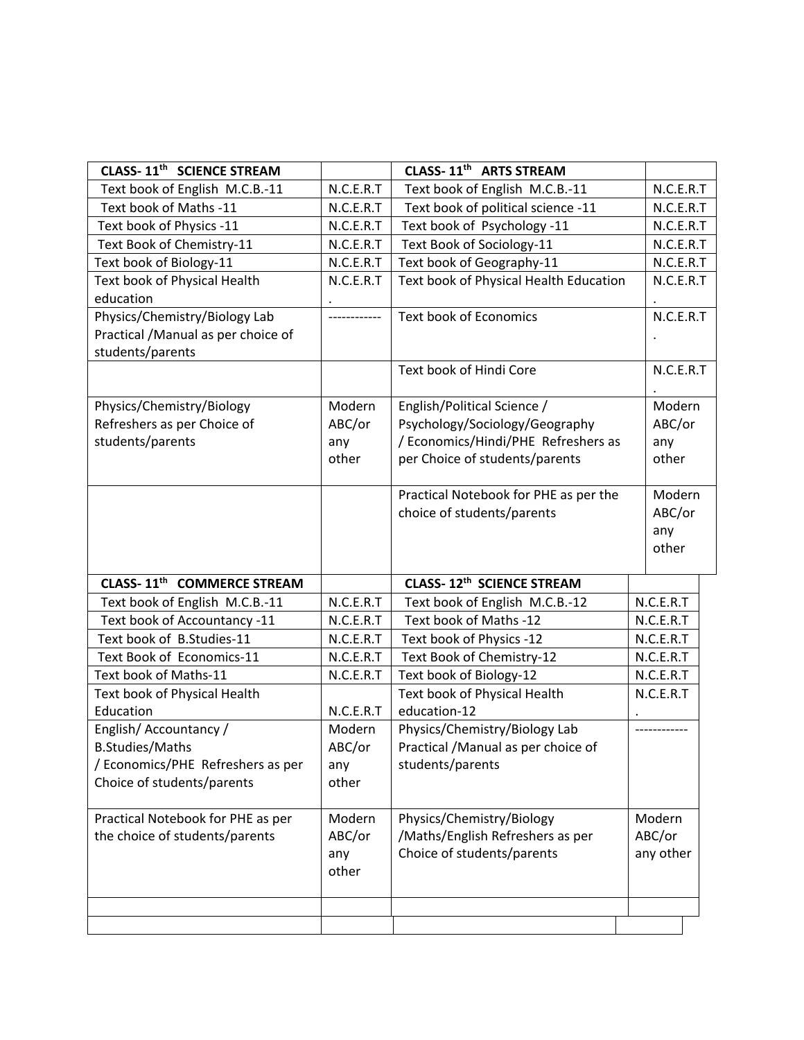| CLASS-11 <sup>th</sup> SCIENCE STREAM  |           | CLASS-11 <sup>th</sup> ARTS STREAM     |           |           |  |
|----------------------------------------|-----------|----------------------------------------|-----------|-----------|--|
| Text book of English M.C.B.-11         | N.C.E.R.T | Text book of English M.C.B.-11         |           | N.C.E.R.T |  |
| Text book of Maths -11                 | N.C.E.R.T | Text book of political science -11     |           | N.C.E.R.T |  |
| Text book of Physics -11               | N.C.E.R.T | Text book of Psychology -11            |           | N.C.E.R.T |  |
| Text Book of Chemistry-11              | N.C.E.R.T | Text Book of Sociology-11              |           | N.C.E.R.T |  |
| Text book of Biology-11                | N.C.E.R.T | Text book of Geography-11              |           | N.C.E.R.T |  |
| Text book of Physical Health           | N.C.E.R.T | Text book of Physical Health Education |           | N.C.E.R.T |  |
| education                              |           |                                        |           |           |  |
| Physics/Chemistry/Biology Lab          |           | <b>Text book of Economics</b>          |           | N.C.E.R.T |  |
| Practical /Manual as per choice of     |           |                                        |           |           |  |
| students/parents                       |           |                                        |           |           |  |
|                                        |           | Text book of Hindi Core                |           | N.C.E.R.T |  |
|                                        |           |                                        |           |           |  |
| Physics/Chemistry/Biology              | Modern    | English/Political Science /            |           | Modern    |  |
| Refreshers as per Choice of            | ABC/or    | Psychology/Sociology/Geography         |           | ABC/or    |  |
| students/parents                       | any       | / Economics/Hindi/PHE Refreshers as    |           | any       |  |
|                                        | other     | per Choice of students/parents         |           | other     |  |
|                                        |           |                                        |           |           |  |
|                                        |           | Practical Notebook for PHE as per the  |           | Modern    |  |
|                                        |           | choice of students/parents             |           | ABC/or    |  |
|                                        |           |                                        |           | any       |  |
|                                        |           |                                        |           | other     |  |
| CLASS-11 <sup>th</sup> COMMERCE STREAM |           | CLASS-12th SCIENCE STREAM              |           |           |  |
| Text book of English M.C.B.-11         | N.C.E.R.T | Text book of English M.C.B.-12         |           | N.C.E.R.T |  |
| Text book of Accountancy -11           | N.C.E.R.T | Text book of Maths -12                 |           | N.C.E.R.T |  |
| Text book of B.Studies-11              | N.C.E.R.T | Text book of Physics -12               |           | N.C.E.R.T |  |
| Text Book of Economics-11              | N.C.E.R.T | Text Book of Chemistry-12              | N.C.E.R.T |           |  |
| Text book of Maths-11                  | N.C.E.R.T | Text book of Biology-12                | N.C.E.R.T |           |  |
| Text book of Physical Health           |           | Text book of Physical Health           | N.C.E.R.T |           |  |
| Education                              | N.C.E.R.T | education-12                           |           |           |  |
| English/Accountancy/                   | Modern    | Physics/Chemistry/Biology Lab          |           |           |  |
| <b>B.Studies/Maths</b>                 | ABC/or    | Practical /Manual as per choice of     |           |           |  |
| / Economics/PHE Refreshers as per      | any       | students/parents                       |           |           |  |
| Choice of students/parents             | other     |                                        |           |           |  |
|                                        |           |                                        |           |           |  |
| Practical Notebook for PHE as per      | Modern    | Physics/Chemistry/Biology              |           | Modern    |  |
| the choice of students/parents         | ABC/or    | /Maths/English Refreshers as per       |           | ABC/or    |  |
|                                        | any       | Choice of students/parents             |           | any other |  |
|                                        | other     |                                        |           |           |  |
|                                        |           |                                        |           |           |  |
|                                        |           |                                        |           |           |  |
|                                        |           |                                        |           |           |  |